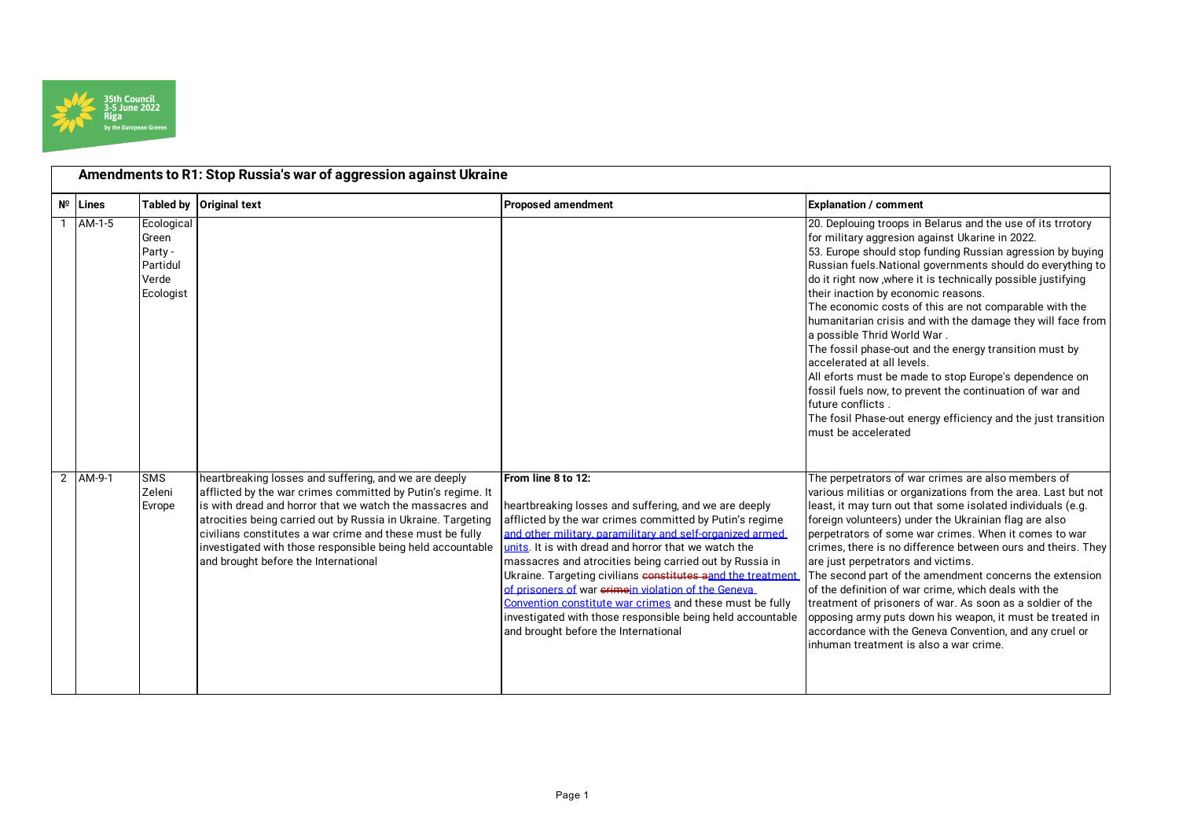

|                | Amendments to R1: Stop Russia's war of aggression against Ukraine |                                                                  |                                                                                                                                                                                                                                                                                                                                                                                                                      |                                                                                                                                                                                                                                                                                                                                                                                                                                                                                                                                                                                                                |                                                                                                                                                                                                                                                                                                                                                                                                                                                                                                                                                                                                                                                                                                                                                                                                                                        |
|----------------|-------------------------------------------------------------------|------------------------------------------------------------------|----------------------------------------------------------------------------------------------------------------------------------------------------------------------------------------------------------------------------------------------------------------------------------------------------------------------------------------------------------------------------------------------------------------------|----------------------------------------------------------------------------------------------------------------------------------------------------------------------------------------------------------------------------------------------------------------------------------------------------------------------------------------------------------------------------------------------------------------------------------------------------------------------------------------------------------------------------------------------------------------------------------------------------------------|----------------------------------------------------------------------------------------------------------------------------------------------------------------------------------------------------------------------------------------------------------------------------------------------------------------------------------------------------------------------------------------------------------------------------------------------------------------------------------------------------------------------------------------------------------------------------------------------------------------------------------------------------------------------------------------------------------------------------------------------------------------------------------------------------------------------------------------|
|                | $N^{\circ}$ Lines                                                 |                                                                  | Tabled by Original text                                                                                                                                                                                                                                                                                                                                                                                              | <b>Proposed amendment</b>                                                                                                                                                                                                                                                                                                                                                                                                                                                                                                                                                                                      | <b>Explanation / comment</b>                                                                                                                                                                                                                                                                                                                                                                                                                                                                                                                                                                                                                                                                                                                                                                                                           |
|                | 1 AM-1-5                                                          | Ecological<br>Green<br>Party -<br>Partidul<br>Verde<br>Ecologist |                                                                                                                                                                                                                                                                                                                                                                                                                      |                                                                                                                                                                                                                                                                                                                                                                                                                                                                                                                                                                                                                | 20. Deplouing troops in Belarus and the use of its trrotory<br>for military aggresion against Ukarine in 2022.<br>53. Europe should stop funding Russian agression by buying<br>Russian fuels. National governments should do everything to<br>do it right now , where it is technically possible justifying<br>their inaction by economic reasons.<br>The economic costs of this are not comparable with the<br>humanitarian crisis and with the damage they will face from<br>a possible Thrid World War.<br>The fossil phase-out and the energy transition must by<br>accelerated at all levels.<br>All eforts must be made to stop Europe's dependence on<br>fossil fuels now, to prevent the continuation of war and<br>future conflicts.<br>The fosil Phase-out energy efficiency and the just transition<br>must be accelerated |
| $\overline{2}$ | AM-9-1                                                            | <b>SMS</b><br>Zeleni<br>Evrope                                   | heartbreaking losses and suffering, and we are deeply<br>afflicted by the war crimes committed by Putin's regime. It<br>lis with dread and horror that we watch the massacres and<br>atrocities being carried out by Russia in Ukraine. Targeting<br>civilians constitutes a war crime and these must be fully<br>investigated with those responsible being held accountable<br>and brought before the International | From line 8 to 12:<br>heartbreaking losses and suffering, and we are deeply<br>afflicted by the war crimes committed by Putin's regime<br>and other military, paramilitary and self-organized armed<br>units. It is with dread and horror that we watch the<br>massacres and atrocities being carried out by Russia in<br>Ukraine. Targeting civilians constitutes aand the treatment<br>of prisoners of war erimein violation of the Geneva<br>Convention constitute war crimes and these must be fully<br>investigated with those responsible being held accountable<br>and brought before the International | The perpetrators of war crimes are also members of<br>various militias or organizations from the area. Last but not<br>least, it may turn out that some isolated individuals (e.g.<br>foreign volunteers) under the Ukrainian flag are also<br>perpetrators of some war crimes. When it comes to war<br>crimes, there is no difference between ours and theirs. They<br>are just perpetrators and victims.<br>The second part of the amendment concerns the extension<br>of the definition of war crime, which deals with the<br>treatment of prisoners of war. As soon as a soldier of the<br>opposing army puts down his weapon, it must be treated in<br>accordance with the Geneva Convention, and any cruel or<br>inhuman treatment is also a war crime.                                                                          |

Page 1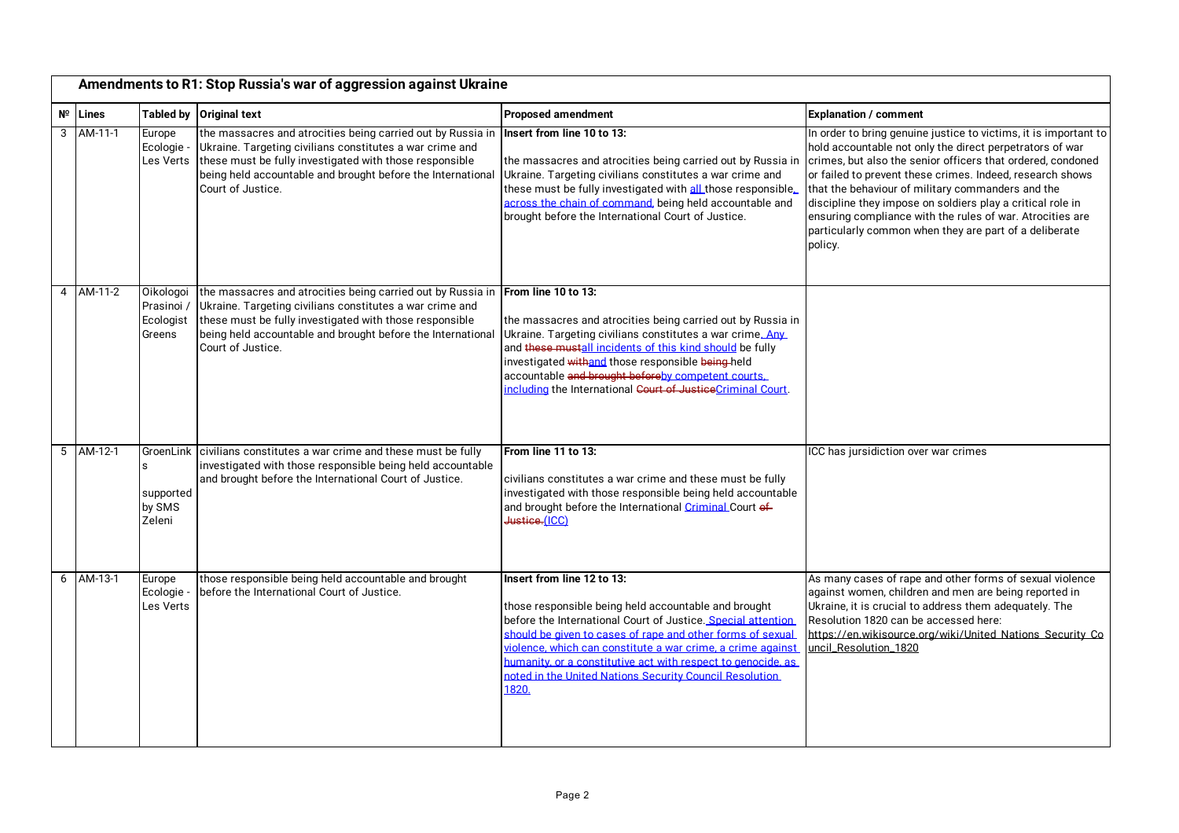|   |                   |                                                            | Amendments to R1: Stop Russia's war of aggression against Ukraine                                                                                                                                                                                                      |                                                                                                                                                                                                                                                                                                                                                                                                                     |                                                                                                                                                                                                                                                                                                                                                                                                                                                                                                               |
|---|-------------------|------------------------------------------------------------|------------------------------------------------------------------------------------------------------------------------------------------------------------------------------------------------------------------------------------------------------------------------|---------------------------------------------------------------------------------------------------------------------------------------------------------------------------------------------------------------------------------------------------------------------------------------------------------------------------------------------------------------------------------------------------------------------|---------------------------------------------------------------------------------------------------------------------------------------------------------------------------------------------------------------------------------------------------------------------------------------------------------------------------------------------------------------------------------------------------------------------------------------------------------------------------------------------------------------|
|   | $N^{\circ}$ Lines |                                                            | Tabled by Original text                                                                                                                                                                                                                                                | <b>Proposed amendment</b>                                                                                                                                                                                                                                                                                                                                                                                           | <b>Explanation / comment</b>                                                                                                                                                                                                                                                                                                                                                                                                                                                                                  |
| 3 | AM-11-1           | Europe<br>Ecologie -<br>Les Verts                          | the massacres and atrocities being carried out by Russia in<br>Ukraine. Targeting civilians constitutes a war crime and<br>these must be fully investigated with those responsible<br>being held accountable and brought before the International<br>Court of Justice. | Insert from line 10 to 13:<br>the massacres and atrocities being carried out by Russia in<br>Ukraine. Targeting civilians constitutes a war crime and<br>these must be fully investigated with all those responsible.<br>across the chain of command, being held accountable and<br>brought before the International Court of Justice.                                                                              | In order to bring genuine justice to victims, it is important to<br>hold accountable not only the direct perpetrators of war<br>crimes, but also the senior officers that ordered, condoned<br>or failed to prevent these crimes. Indeed, research shows<br>that the behaviour of military commanders and the<br>discipline they impose on soldiers play a critical role in<br>ensuring compliance with the rules of war. Atrocities are<br>particularly common when they are part of a deliberate<br>policy. |
| 4 | AM-11-2           | Oikologoi<br>Prasinoi /<br>Ecologist<br>Greens             | the massacres and atrocities being carried out by Russia in<br>Ukraine. Targeting civilians constitutes a war crime and<br>these must be fully investigated with those responsible<br>being held accountable and brought before the International<br>Court of Justice. | From line 10 to 13:<br>the massacres and atrocities being carried out by Russia in<br>Ukraine. Targeting civilians constitutes a war crime. Any<br>and these mustall incidents of this kind should be fully<br>investigated withand those responsible being-held<br>accountable and brought beforeby competent courts.<br>including the International Court of JusticeCriminal Court.                               |                                                                                                                                                                                                                                                                                                                                                                                                                                                                                                               |
| 5 | AM-12-1           | GroenLink<br><sub>S</sub><br>supported<br>by SMS<br>Zeleni | civilians constitutes a war crime and these must be fully<br>investigated with those responsible being held accountable<br>and brought before the International Court of Justice.                                                                                      | From line 11 to 13:<br>civilians constitutes a war crime and these must be fully<br>investigated with those responsible being held accountable<br>and brought before the International Criminal Court of<br>Justice.(ICC)                                                                                                                                                                                           | ICC has jursidiction over war crimes                                                                                                                                                                                                                                                                                                                                                                                                                                                                          |
| 6 | AM-13-1           | Europe<br>Ecologie -<br>Les Verts                          | those responsible being held accountable and brought<br>before the International Court of Justice.                                                                                                                                                                     | Insert from line 12 to 13:<br>those responsible being held accountable and brought<br>before the International Court of Justice. Special attention<br>should be given to cases of rape and other forms of sexual<br>violence, which can constitute a war crime, a crime against<br>humanity, or a constitutive act with respect to genocide, as<br>noted in the United Nations Security Council Resolution<br>1820. | As many cases of rape and other forms of sexual violence<br>against women, children and men are being reported in<br>Ukraine, it is crucial to address them adequately. The<br>Resolution 1820 can be accessed here:<br>https://en.wikisource.org/wiki/United Nations Security Co<br>uncil Resolution 1820                                                                                                                                                                                                    |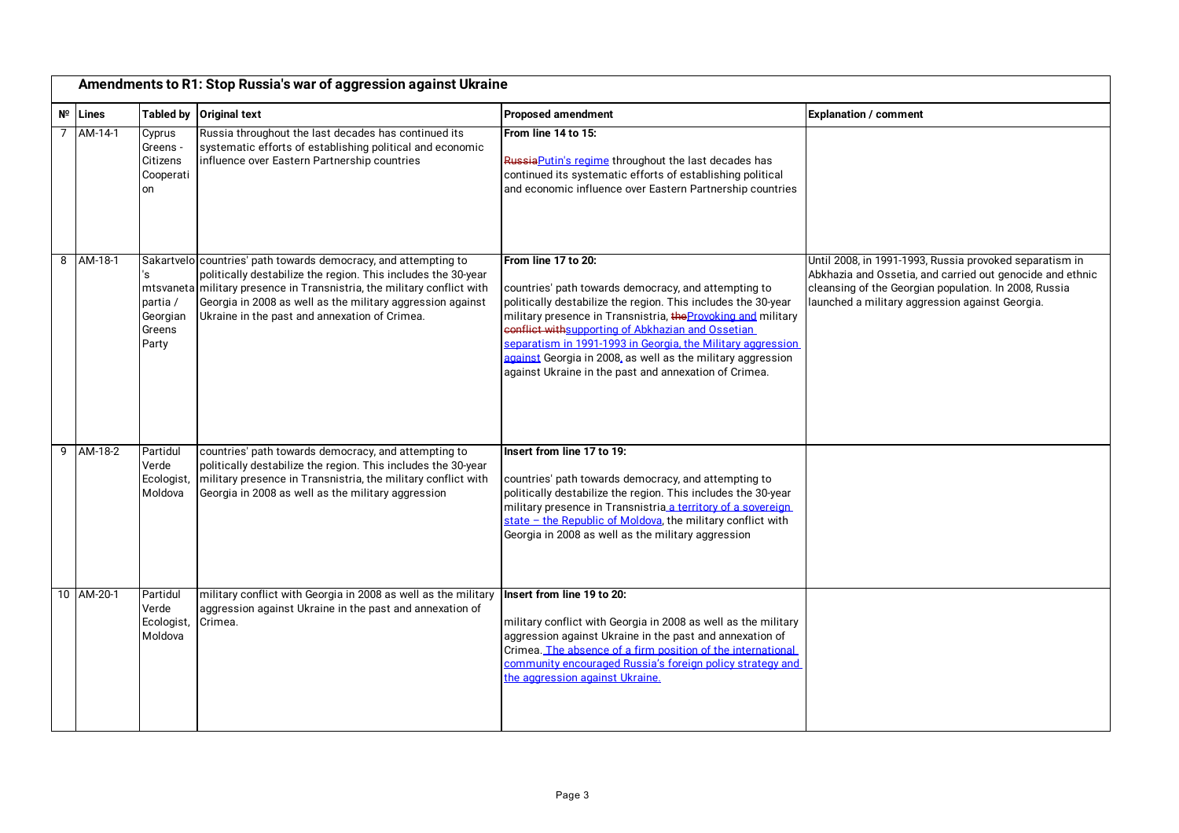|   | Amendments to R1: Stop Russia's war of aggression against Ukraine |                                                   |                                                                                                                                                                                                                                                                                                                            |                                                                                                                                                                                                                                                                                                                                                                                                                                                           |                                                                                                                                                                                                                                  |  |
|---|-------------------------------------------------------------------|---------------------------------------------------|----------------------------------------------------------------------------------------------------------------------------------------------------------------------------------------------------------------------------------------------------------------------------------------------------------------------------|-----------------------------------------------------------------------------------------------------------------------------------------------------------------------------------------------------------------------------------------------------------------------------------------------------------------------------------------------------------------------------------------------------------------------------------------------------------|----------------------------------------------------------------------------------------------------------------------------------------------------------------------------------------------------------------------------------|--|
|   | $N^{\circ}$ Lines                                                 | <b>Tabled by</b>                                  | <b>Original text</b>                                                                                                                                                                                                                                                                                                       | <b>Proposed amendment</b>                                                                                                                                                                                                                                                                                                                                                                                                                                 | <b>Explanation / comment</b>                                                                                                                                                                                                     |  |
| 7 | AM-14-1                                                           | Cyprus<br>Greens ·<br>Citizens<br>Cooperati<br>on | Russia throughout the last decades has continued its<br>systematic efforts of establishing political and economic<br>influence over Eastern Partnership countries                                                                                                                                                          | From line 14 to 15:<br>Russia Putin's regime throughout the last decades has<br>continued its systematic efforts of establishing political<br>and economic influence over Eastern Partnership countries                                                                                                                                                                                                                                                   |                                                                                                                                                                                                                                  |  |
| 8 | AM-18-1                                                           | 's<br>partia /<br>Georgian<br>Greens<br>Party     | Sakartvelo countries' path towards democracy, and attempting to<br>politically destabilize the region. This includes the 30-year<br>mtsvaneta military presence in Transnistria, the military conflict with<br>Georgia in 2008 as well as the military aggression against<br>Ukraine in the past and annexation of Crimea. | From line 17 to 20:<br>countries' path towards democracy, and attempting to<br>politically destabilize the region. This includes the 30-year<br>military presence in Transnistria, the Provoking and military<br>conflict withsupporting of Abkhazian and Ossetian<br>separatism in 1991-1993 in Georgia, the Military aggression<br>against Georgia in 2008, as well as the military aggression<br>against Ukraine in the past and annexation of Crimea. | Until 2008, in 1991-1993, Russia provoked separatism in<br>Abkhazia and Ossetia, and carried out genocide and ethnic<br>cleansing of the Georgian population. In 2008, Russia<br>launched a military aggression against Georgia. |  |
| 9 | AM-18-2                                                           | Partidul<br>Verde<br>Ecologist,<br>Moldova        | countries' path towards democracy, and attempting to<br>politically destabilize the region. This includes the 30-year<br>military presence in Transnistria, the military conflict with<br>Georgia in 2008 as well as the military aggression                                                                               | Insert from line 17 to 19:<br>countries' path towards democracy, and attempting to<br>politically destabilize the region. This includes the 30-year<br>military presence in Transnistria a territory of a sovereign<br>state - the Republic of Moldova, the military conflict with<br>Georgia in 2008 as well as the military aggression                                                                                                                  |                                                                                                                                                                                                                                  |  |
|   | 10 AM-20-1                                                        | Partidul<br>Verde<br>Ecologist,<br>Moldova        | military conflict with Georgia in 2008 as well as the military<br>aggression against Ukraine in the past and annexation of<br>Crimea.                                                                                                                                                                                      | Insert from line 19 to 20:<br>military conflict with Georgia in 2008 as well as the military<br>aggression against Ukraine in the past and annexation of<br>Crimea. The absence of a firm position of the international<br>community encouraged Russia's foreign policy strategy and<br>the aggression against Ukraine.                                                                                                                                   |                                                                                                                                                                                                                                  |  |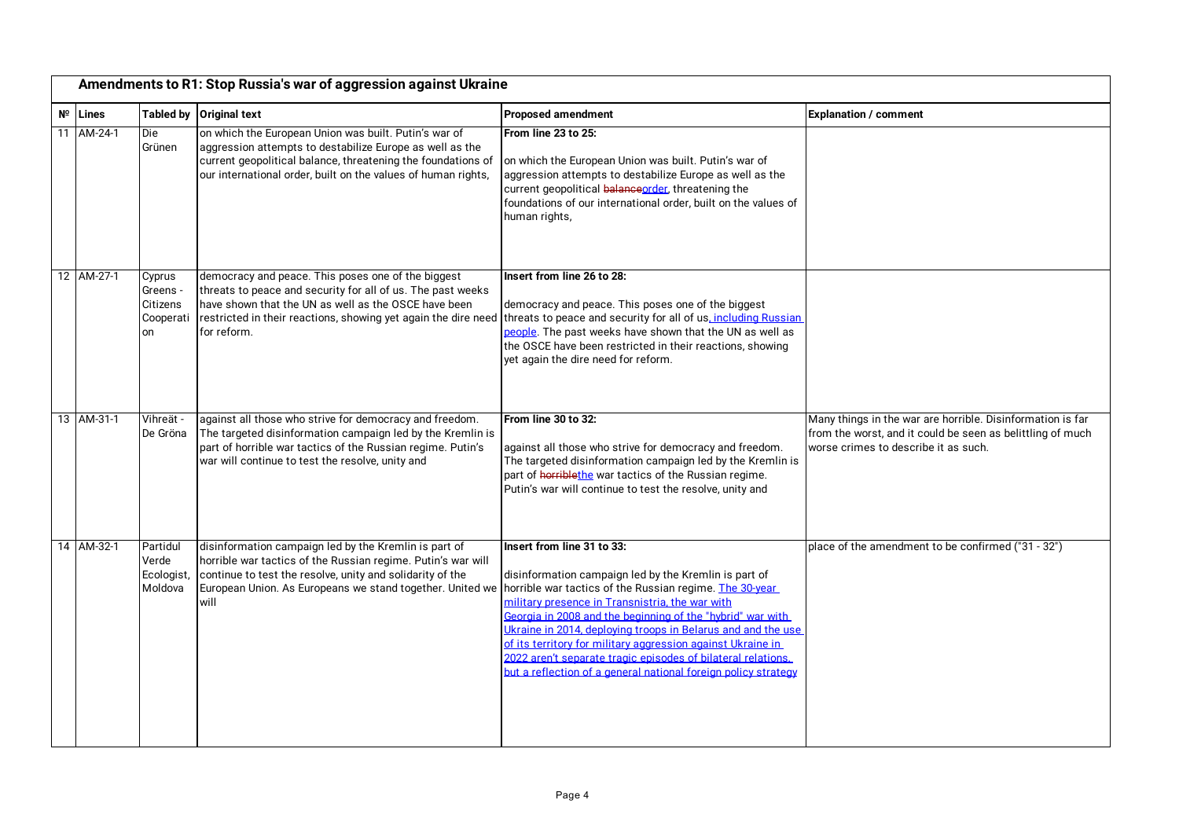|    | Amendments to R1: Stop Russia's war of aggression against Ukraine |                                                   |                                                                                                                                                                                                                                                                                                                 |                                                                                                                                                                                                                                                                                                                                                                                                                                                                       |                                                                                                                                                                  |
|----|-------------------------------------------------------------------|---------------------------------------------------|-----------------------------------------------------------------------------------------------------------------------------------------------------------------------------------------------------------------------------------------------------------------------------------------------------------------|-----------------------------------------------------------------------------------------------------------------------------------------------------------------------------------------------------------------------------------------------------------------------------------------------------------------------------------------------------------------------------------------------------------------------------------------------------------------------|------------------------------------------------------------------------------------------------------------------------------------------------------------------|
|    | $N^{\circ}$ Lines                                                 |                                                   | Tabled by Original text                                                                                                                                                                                                                                                                                         | <b>Proposed amendment</b>                                                                                                                                                                                                                                                                                                                                                                                                                                             | <b>Explanation / comment</b>                                                                                                                                     |
| 11 | AM-24-1                                                           | Die<br>Grünen                                     | on which the European Union was built. Putin's war of<br>aggression attempts to destabilize Europe as well as the<br>current geopolitical balance, threatening the foundations of<br>our international order, built on the values of human rights,                                                              | From line 23 to 25:<br>on which the European Union was built. Putin's war of<br>aggression attempts to destabilize Europe as well as the<br>current geopolitical balance order, threatening the<br>foundations of our international order, built on the values of<br>human rights,                                                                                                                                                                                    |                                                                                                                                                                  |
|    | 12 AM-27-1                                                        | Cyprus<br>Greens ·<br>Citizens<br>Cooperati<br>on | democracy and peace. This poses one of the biggest<br>threats to peace and security for all of us. The past weeks<br>have shown that the UN as well as the OSCE have been<br>for reform.                                                                                                                        | Insert from line 26 to 28:<br>democracy and peace. This poses one of the biggest<br>restricted in their reactions, showing yet again the dire need threats to peace and security for all of us, including Russian<br>people. The past weeks have shown that the UN as well as<br>the OSCE have been restricted in their reactions, showing<br>yet again the dire need for reform.                                                                                     |                                                                                                                                                                  |
|    | 13 AM-31-1                                                        | Vihreät -<br>De Gröna                             | against all those who strive for democracy and freedom.<br>The targeted disinformation campaign led by the Kremlin is<br>part of horrible war tactics of the Russian regime. Putin's<br>war will continue to test the resolve, unity and                                                                        | From line 30 to 32:<br>against all those who strive for democracy and freedom.<br>The targeted disinformation campaign led by the Kremlin is<br>part of horriblethe war tactics of the Russian regime.<br>Putin's war will continue to test the resolve, unity and                                                                                                                                                                                                    | Many things in the war are horrible. Disinformation is far<br>from the worst, and it could be seen as belittling of much<br>worse crimes to describe it as such. |
|    | 14 AM-32-1                                                        | Partidul<br>Verde<br>Ecologist,<br>Moldova        | disinformation campaign led by the Kremlin is part of<br>horrible war tactics of the Russian regime. Putin's war will<br>continue to test the resolve, unity and solidarity of the<br>European Union. As Europeans we stand together. United we norrible war tactics of the Russian regime. The 30-year<br>will | Insert from line 31 to 33:<br>disinformation campaign led by the Kremlin is part of<br>military presence in Transnistria, the war with<br>Georgia in 2008 and the beginning of the "hybrid" war with<br>Ukraine in 2014, deploying troops in Belarus and and the use<br>of its territory for military aggression against Ukraine in<br>2022 aren't separate tragic episodes of bilateral relations.<br>but a reflection of a general national foreign policy strategy | place of the amendment to be confirmed ("31 - 32")                                                                                                               |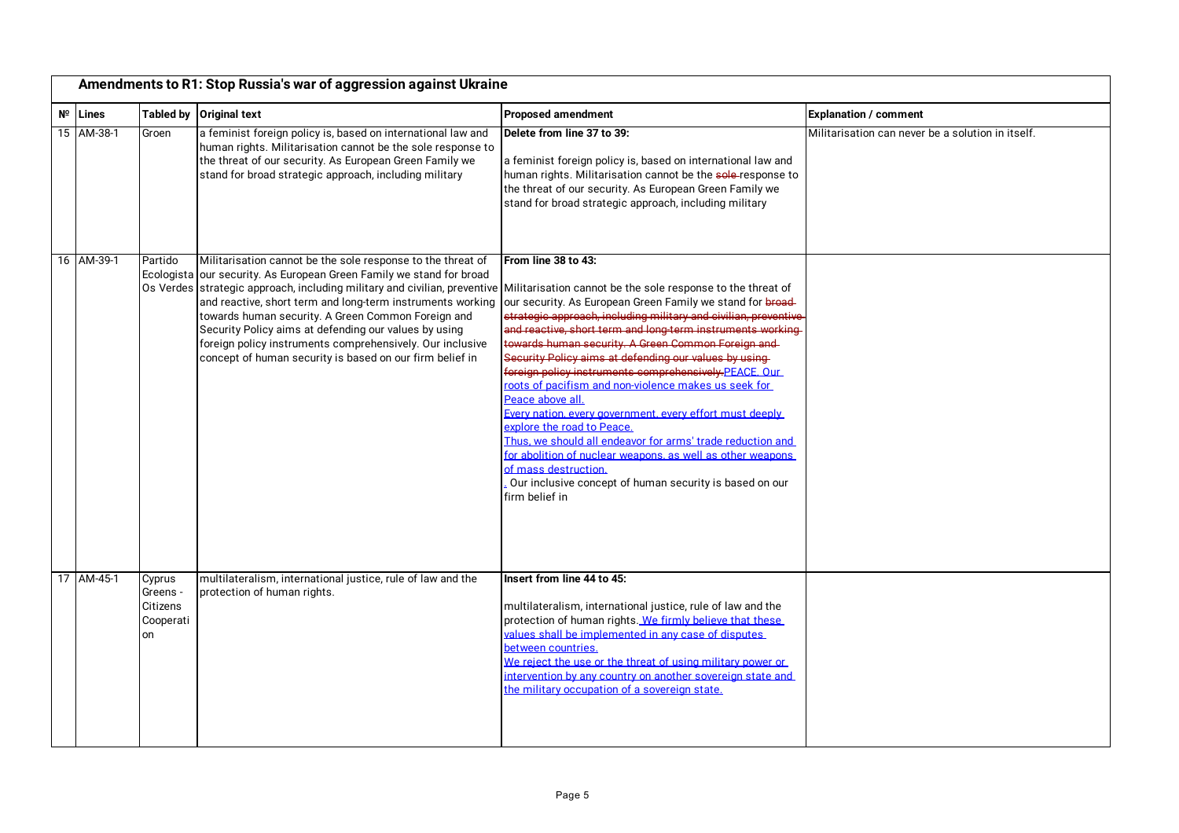| Amendments to R1: Stop Russia's war of aggression against Ukraine |                                                   |                                                                                                                                                                                                                                                                                                                                                                                                                                                                                                                                                                         |                                                                                                                                                                                                                                                                                                                                                                                                                                                                                                                                                                                                                                                                                                                                                                                                    |                                                   |
|-------------------------------------------------------------------|---------------------------------------------------|-------------------------------------------------------------------------------------------------------------------------------------------------------------------------------------------------------------------------------------------------------------------------------------------------------------------------------------------------------------------------------------------------------------------------------------------------------------------------------------------------------------------------------------------------------------------------|----------------------------------------------------------------------------------------------------------------------------------------------------------------------------------------------------------------------------------------------------------------------------------------------------------------------------------------------------------------------------------------------------------------------------------------------------------------------------------------------------------------------------------------------------------------------------------------------------------------------------------------------------------------------------------------------------------------------------------------------------------------------------------------------------|---------------------------------------------------|
| $N^{\circ}$ Lines                                                 |                                                   | Tabled by Original text                                                                                                                                                                                                                                                                                                                                                                                                                                                                                                                                                 | <b>Proposed amendment</b>                                                                                                                                                                                                                                                                                                                                                                                                                                                                                                                                                                                                                                                                                                                                                                          | <b>Explanation / comment</b>                      |
| 15 AM-38-1                                                        | Groen                                             | a feminist foreign policy is, based on international law and<br>human rights. Militarisation cannot be the sole response to<br>the threat of our security. As European Green Family we<br>stand for broad strategic approach, including military                                                                                                                                                                                                                                                                                                                        | Delete from line 37 to 39:<br>a feminist foreign policy is, based on international law and<br>human rights. Militarisation cannot be the sole-response to<br>the threat of our security. As European Green Family we<br>stand for broad strategic approach, including military                                                                                                                                                                                                                                                                                                                                                                                                                                                                                                                     | Militarisation can never be a solution in itself. |
| 16 AM-39-1                                                        | Partido<br>Ecologista                             | Militarisation cannot be the sole response to the threat of<br>our security. As European Green Family we stand for broad<br>Os Verdes strategic approach, including military and civilian, preventive Militarisation cannot be the sole response to the threat of<br>and reactive, short term and long-term instruments working<br>towards human security. A Green Common Foreign and<br>Security Policy aims at defending our values by using<br>foreign policy instruments comprehensively. Our inclusive<br>concept of human security is based on our firm belief in | From line 38 to 43:<br>our security. As European Green Family we stand for broad-<br>strategic approach, including military and civilian, preventive<br>and reactive, short term and long-term instruments working<br>towards human security. A Green Common Foreign and<br>Security Policy aims at defending our values by using-<br>foreign policy instruments comprehensively.PEACE. Our<br>roots of pacifism and non-violence makes us seek for<br>Peace above all.<br>Every nation, every government, every effort must deeply<br>explore the road to Peace.<br>Thus, we should all endeavor for arms' trade reduction and<br>for abolition of nuclear weapons, as well as other weapons<br>of mass destruction.<br>Our inclusive concept of human security is based on our<br>firm belief in |                                                   |
| 17 AM-45-1                                                        | Cyprus<br>Greens -<br>Citizens<br>Cooperati<br>on | multilateralism, international justice, rule of law and the<br>protection of human rights.                                                                                                                                                                                                                                                                                                                                                                                                                                                                              | Insert from line 44 to 45:<br>multilateralism, international justice, rule of law and the<br>protection of human rights. We firmly believe that these<br>values shall be implemented in any case of disputes<br>between countries.<br>We reject the use or the threat of using military power or<br>intervention by any country on another sovereign state and<br>the military occupation of a sovereign state.                                                                                                                                                                                                                                                                                                                                                                                    |                                                   |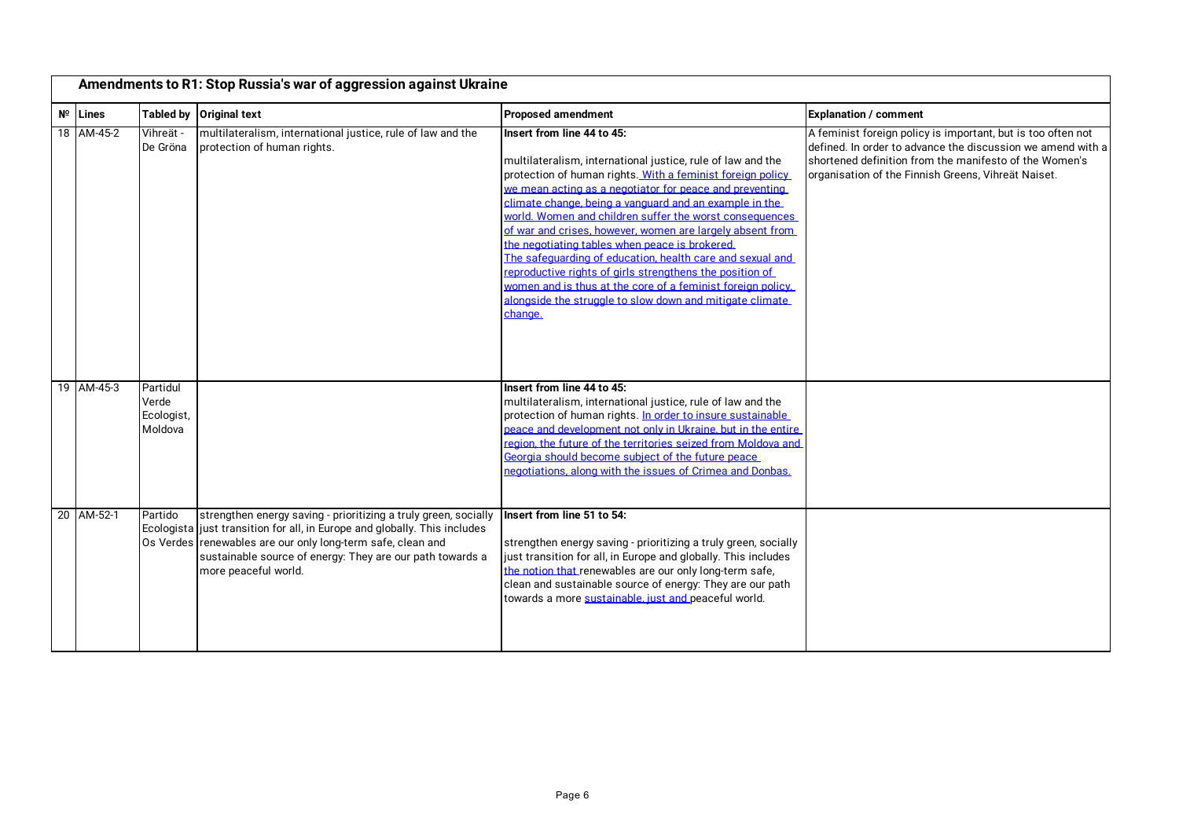|    |                          |                                                       | Amendments to R1: Stop Russia's war of aggression against Ukraine                                                                                                                                                             |                                                                                                                                                                                                                                                                                                                                                                                                                                                                                                                                                                                                                                                                                                                       |                                                                                                                                                                                                                                              |
|----|--------------------------|-------------------------------------------------------|-------------------------------------------------------------------------------------------------------------------------------------------------------------------------------------------------------------------------------|-----------------------------------------------------------------------------------------------------------------------------------------------------------------------------------------------------------------------------------------------------------------------------------------------------------------------------------------------------------------------------------------------------------------------------------------------------------------------------------------------------------------------------------------------------------------------------------------------------------------------------------------------------------------------------------------------------------------------|----------------------------------------------------------------------------------------------------------------------------------------------------------------------------------------------------------------------------------------------|
| Nº | Lines                    |                                                       | Tabled by Original text                                                                                                                                                                                                       | <b>Proposed amendment</b>                                                                                                                                                                                                                                                                                                                                                                                                                                                                                                                                                                                                                                                                                             | <b>Explanation / comment</b>                                                                                                                                                                                                                 |
|    | 18 AM-45-2               | Vihreät -<br>De Gröna                                 | multilateralism, international justice, rule of law and the<br>protection of human rights.                                                                                                                                    | Insert from line 44 to 45:<br>multilateralism, international justice, rule of law and the<br>protection of human rights. With a feminist foreign policy<br>we mean acting as a negotiator for peace and preventing<br>climate change, being a vanguard and an example in the<br>world. Women and children suffer the worst consequences<br>of war and crises, however, women are largely absent from<br>the negotiating tables when peace is brokered.<br>The safeguarding of education, health care and sexual and<br>reproductive rights of girls strengthens the position of<br>women and is thus at the core of a feminist foreign policy.<br>alongside the struggle to slow down and mitigate climate<br>change. | A feminist foreign policy is important, but is too often not<br>defined. In order to advance the discussion we amend with a<br>shortened definition from the manifesto of the Women's<br>organisation of the Finnish Greens, Vihreät Naiset. |
|    | 19 AM-45-3<br>20 AM-52-1 | Partidul<br>Verde<br>Ecologist,<br>Moldova<br>Partido | strengthen energy saving - prioritizing a truly green, socially                                                                                                                                                               | Insert from line 44 to 45:<br>multilateralism, international justice, rule of law and the<br>protection of human rights. In order to insure sustainable<br>peace and development not only in Ukraine, but in the entire<br>region, the future of the territories seized from Moldova and<br>Georgia should become subject of the future peace<br>negotiations, along with the issues of Crimea and Donbas.<br>Insert from line 51 to 54:                                                                                                                                                                                                                                                                              |                                                                                                                                                                                                                                              |
|    |                          |                                                       | Ecologista just transition for all, in Europe and globally. This includes<br>Os Verdes renewables are our only long-term safe, clean and<br>sustainable source of energy: They are our path towards a<br>more peaceful world. | strengthen energy saving - prioritizing a truly green, socially<br>just transition for all, in Europe and globally. This includes<br>the notion that renewables are our only long-term safe,<br>clean and sustainable source of energy: They are our path<br>towards a more sustainable, just and peaceful world.                                                                                                                                                                                                                                                                                                                                                                                                     |                                                                                                                                                                                                                                              |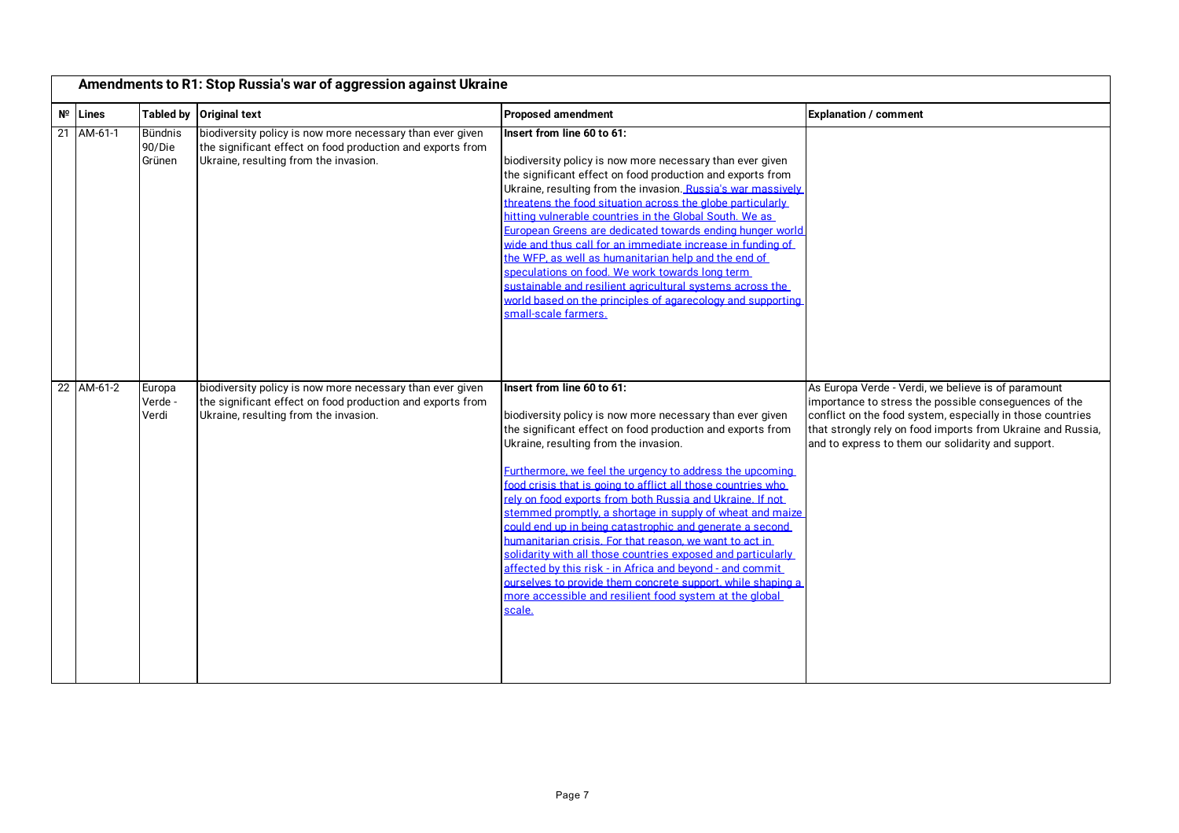|    | Amendments to R1: Stop Russia's war of aggression against Ukraine |                                    |                                                                                                                                                                  |                                                                                                                                                                                                                                                                                                                                                                                                                                                                                                                                                                                                                                                                                                                                                                                                                                              |                                                                                                                                                                                                                                                                                                 |
|----|-------------------------------------------------------------------|------------------------------------|------------------------------------------------------------------------------------------------------------------------------------------------------------------|----------------------------------------------------------------------------------------------------------------------------------------------------------------------------------------------------------------------------------------------------------------------------------------------------------------------------------------------------------------------------------------------------------------------------------------------------------------------------------------------------------------------------------------------------------------------------------------------------------------------------------------------------------------------------------------------------------------------------------------------------------------------------------------------------------------------------------------------|-------------------------------------------------------------------------------------------------------------------------------------------------------------------------------------------------------------------------------------------------------------------------------------------------|
|    | $N^{\circ}$ Lines                                                 |                                    | Tabled by Original text                                                                                                                                          | <b>Proposed amendment</b>                                                                                                                                                                                                                                                                                                                                                                                                                                                                                                                                                                                                                                                                                                                                                                                                                    | <b>Explanation / comment</b>                                                                                                                                                                                                                                                                    |
| 21 | AM-61-1                                                           | <b>Bündnis</b><br>90/Die<br>Grünen | biodiversity policy is now more necessary than ever given<br>the significant effect on food production and exports from<br>Ukraine, resulting from the invasion. | Insert from line 60 to 61:<br>biodiversity policy is now more necessary than ever given<br>the significant effect on food production and exports from<br>Ukraine, resulting from the invasion. Russia's war massively<br>threatens the food situation across the globe particularly<br>hitting vulnerable countries in the Global South. We as<br>European Greens are dedicated towards ending hunger world<br>wide and thus call for an immediate increase in funding of<br>the WFP, as well as humanitarian help and the end of<br>speculations on food. We work towards long term<br>sustainable and resilient agricultural systems across the<br>world based on the principles of agarecology and supporting<br>small-scale farmers.                                                                                                     |                                                                                                                                                                                                                                                                                                 |
|    | 22 AM-61-2                                                        | Europa<br>Verde<br>Verdi           | biodiversity policy is now more necessary than ever given<br>the significant effect on food production and exports from<br>Ukraine, resulting from the invasion. | Insert from line 60 to 61:<br>biodiversity policy is now more necessary than ever given<br>the significant effect on food production and exports from<br>Ukraine, resulting from the invasion.<br>Furthermore, we feel the urgency to address the upcoming<br>food crisis that is going to afflict all those countries who<br>rely on food exports from both Russia and Ukraine. If not<br>stemmed promptly, a shortage in supply of wheat and maize<br>could end up in being catastrophic and generate a second<br>humanitarian crisis. For that reason, we want to act in<br>solidarity with all those countries exposed and particularly<br>affected by this risk - in Africa and beyond - and commit<br>ourselves to provide them concrete support, while shaping a<br>more accessible and resilient food system at the global<br>scale. | As Europa Verde - Verdi, we believe is of paramount<br>importance to stress the possible consequences of the<br>conflict on the food system, especially in those countries<br>that strongly rely on food imports from Ukraine and Russia,<br>and to express to them our solidarity and support. |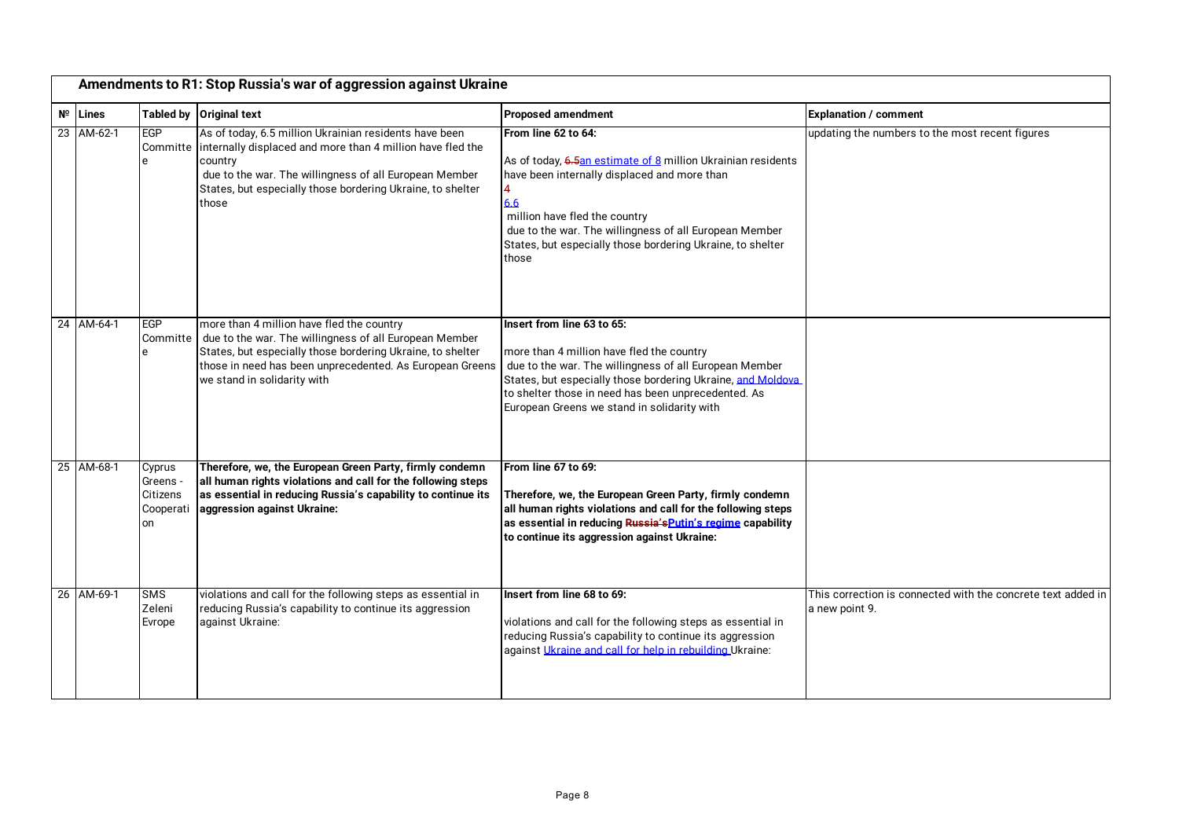| Amendments to R1: Stop Russia's war of aggression against Ukraine |                                                 |                                                                                                                                                                                                                                                                           |                                                                                                                                                                                                                                                                                                                   |                                                                                |  |
|-------------------------------------------------------------------|-------------------------------------------------|---------------------------------------------------------------------------------------------------------------------------------------------------------------------------------------------------------------------------------------------------------------------------|-------------------------------------------------------------------------------------------------------------------------------------------------------------------------------------------------------------------------------------------------------------------------------------------------------------------|--------------------------------------------------------------------------------|--|
| $N^{\circ}$ Lines                                                 |                                                 | Tabled by Original text                                                                                                                                                                                                                                                   | <b>Proposed amendment</b>                                                                                                                                                                                                                                                                                         | <b>Explanation / comment</b>                                                   |  |
| 23 AM-62-1                                                        | <b>EGP</b>                                      | As of today, 6.5 million Ukrainian residents have been<br>Committe internally displaced and more than 4 million have fled the<br>country<br>due to the war. The willingness of all European Member<br>States, but especially those bordering Ukraine, to shelter<br>those | From line 62 to 64:<br>As of today, 6.5an estimate of 8 million Ukrainian residents<br>have been internally displaced and more than<br>4<br>6.6<br>million have fled the country<br>due to the war. The willingness of all European Member<br>States, but especially those bordering Ukraine, to shelter<br>those | updating the numbers to the most recent figures                                |  |
| 24 AM-64-1                                                        | EGP<br>Committe                                 | more than 4 million have fled the country<br>due to the war. The willingness of all European Member<br>States, but especially those bordering Ukraine, to shelter<br>those in need has been unprecedented. As European Greens<br>we stand in solidarity with              | Insert from line 63 to 65:<br>more than 4 million have fled the country<br>due to the war. The willingness of all European Member<br>States, but especially those bordering Ukraine, and Moldova<br>to shelter those in need has been unprecedented. As<br>European Greens we stand in solidarity with            |                                                                                |  |
| 25 AM-68-1                                                        | Cyprus<br>Greens<br>Citizens<br>Cooperati<br>on | Therefore, we, the European Green Party, firmly condemn<br>all human rights violations and call for the following steps<br>as essential in reducing Russia's capability to continue its<br>aggression against Ukraine:                                                    | From line 67 to 69:<br>Therefore, we, the European Green Party, firmly condemn<br>all human rights violations and call for the following steps<br>as essential in reducing Russia's Putin's regime capability<br>to continue its aggression against Ukraine:                                                      |                                                                                |  |
| 26 AM-69-1                                                        | SMS<br>Zeleni<br>Evrope                         | violations and call for the following steps as essential in<br>reducing Russia's capability to continue its aggression<br>against Ukraine:                                                                                                                                | Insert from line 68 to 69:<br>violations and call for the following steps as essential in<br>reducing Russia's capability to continue its aggression<br>against Ukraine and call for help in rebuilding Ukraine:                                                                                                  | This correction is connected with the concrete text added in<br>a new point 9. |  |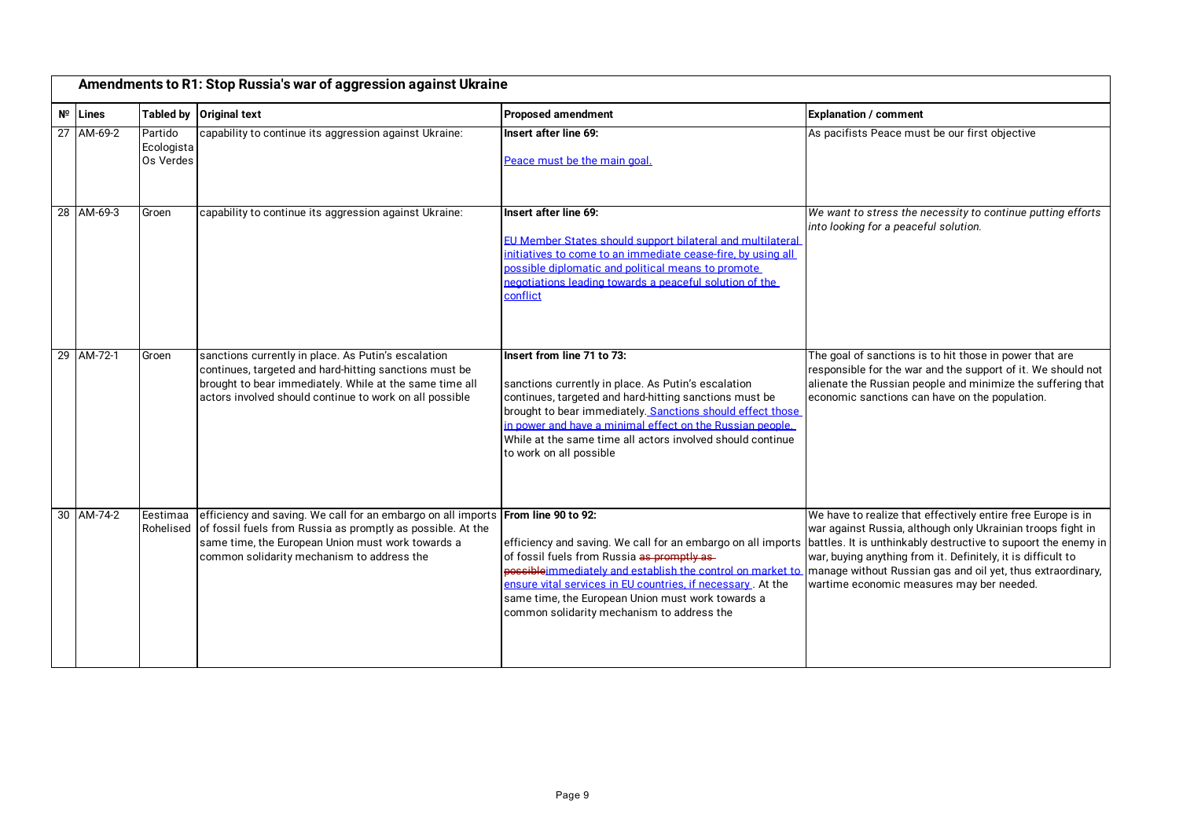| Amendments to R1: Stop Russia's war of aggression against Ukraine |                                    |                                                                                                                                                                                                                                     |                                                                                                                                                                                                                                                                                                                                                                     |                                                                                                                                                                                                                                                                                                                                                                           |
|-------------------------------------------------------------------|------------------------------------|-------------------------------------------------------------------------------------------------------------------------------------------------------------------------------------------------------------------------------------|---------------------------------------------------------------------------------------------------------------------------------------------------------------------------------------------------------------------------------------------------------------------------------------------------------------------------------------------------------------------|---------------------------------------------------------------------------------------------------------------------------------------------------------------------------------------------------------------------------------------------------------------------------------------------------------------------------------------------------------------------------|
| $N^{\circ}$ Lines                                                 |                                    | Tabled by Original text                                                                                                                                                                                                             | <b>Proposed amendment</b>                                                                                                                                                                                                                                                                                                                                           | <b>Explanation / comment</b>                                                                                                                                                                                                                                                                                                                                              |
| 27 AM-69-2                                                        | Partido<br>Ecologista<br>Os Verdes | capability to continue its aggression against Ukraine:                                                                                                                                                                              | Insert after line 69:<br>Peace must be the main goal.                                                                                                                                                                                                                                                                                                               | As pacifists Peace must be our first objective                                                                                                                                                                                                                                                                                                                            |
| 28 AM-69-3                                                        | Groen                              | capability to continue its aggression against Ukraine:                                                                                                                                                                              | Insert after line 69:<br>EU Member States should support bilateral and multilateral<br>initiatives to come to an immediate cease-fire, by using all<br>possible diplomatic and political means to promote<br>negotiations leading towards a peaceful solution of the<br>conflict                                                                                    | We want to stress the necessity to continue putting efforts<br>into looking for a peaceful solution.                                                                                                                                                                                                                                                                      |
| 29 AM-72-1                                                        | Groen                              | sanctions currently in place. As Putin's escalation<br>continues, targeted and hard-hitting sanctions must be<br>brought to bear immediately. While at the same time all<br>actors involved should continue to work on all possible | Insert from line 71 to 73:<br>sanctions currently in place. As Putin's escalation<br>continues, targeted and hard-hitting sanctions must be<br>brought to bear immediately. Sanctions should effect those<br>in power and have a minimal effect on the Russian people.<br>While at the same time all actors involved should continue<br>to work on all possible     | The goal of sanctions is to hit those in power that are<br>responsible for the war and the support of it. We should not<br>alienate the Russian people and minimize the suffering that<br>economic sanctions can have on the population.                                                                                                                                  |
| 30 AM-74-2                                                        | Eestimaa<br>Rohelised              | efficiency and saving. We call for an embargo on all imports<br>of fossil fuels from Russia as promptly as possible. At the<br>same time, the European Union must work towards a<br>common solidarity mechanism to address the      | From line 90 to 92:<br>efficiency and saving. We call for an embargo on all imports<br>of fossil fuels from Russia as promptly as-<br>possible immediately and establish the control on market to<br>ensure vital services in EU countries, if necessary. At the<br>same time, the European Union must work towards a<br>common solidarity mechanism to address the | We have to realize that effectively entire free Europe is in<br>war against Russia, although only Ukrainian troops fight in<br>battles. It is unthinkably destructive to supoort the enemy in<br>war, buying anything from it. Definitely, it is difficult to<br>manage without Russian gas and oil yet, thus extraordinary,<br>wartime economic measures may ber needed. |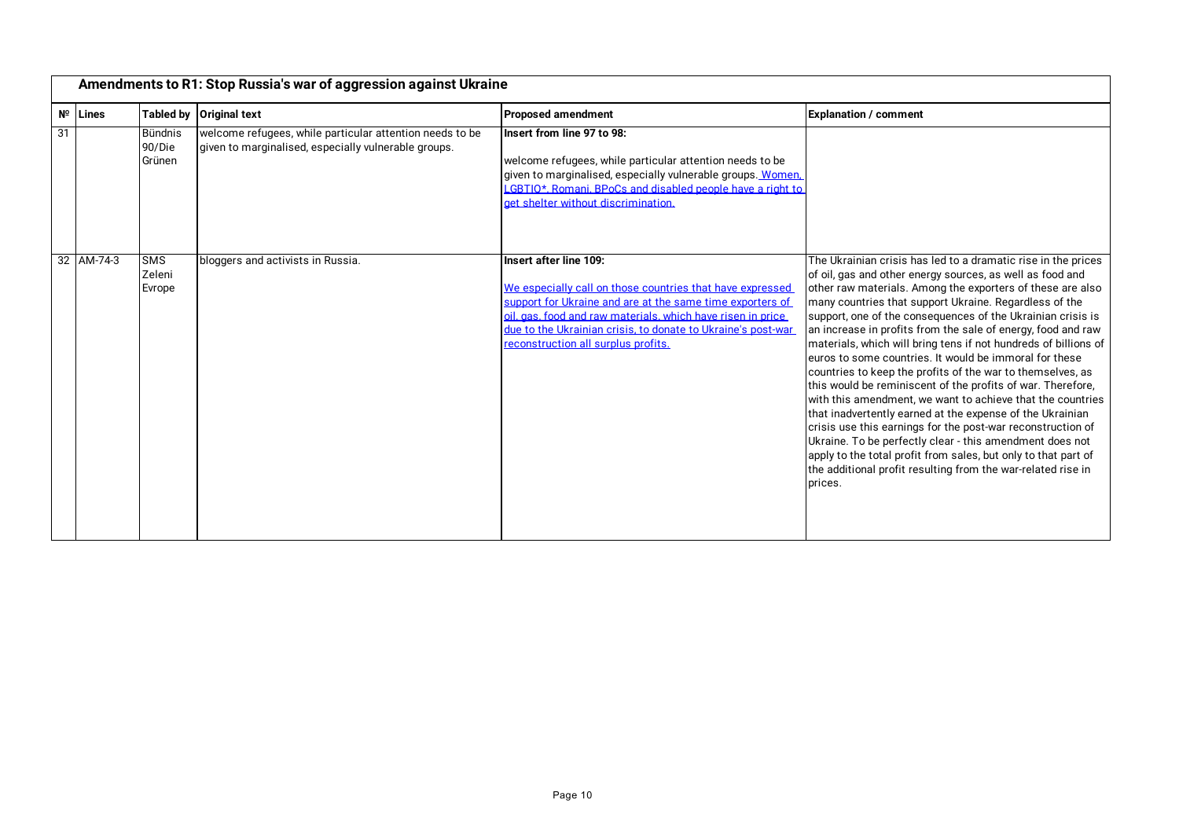|    | Amendments to R1: Stop Russia's war of aggression against Ukraine |                                    |                                                                                                                  |                                                                                                                                                                                                                                                                                                                        |                                                                                                                                                                                                                                                                                                                                                                                                                                                                                                                                                                                                                                                                                                                                                                                                                                                                                                                                                                                                                                                |  |
|----|-------------------------------------------------------------------|------------------------------------|------------------------------------------------------------------------------------------------------------------|------------------------------------------------------------------------------------------------------------------------------------------------------------------------------------------------------------------------------------------------------------------------------------------------------------------------|------------------------------------------------------------------------------------------------------------------------------------------------------------------------------------------------------------------------------------------------------------------------------------------------------------------------------------------------------------------------------------------------------------------------------------------------------------------------------------------------------------------------------------------------------------------------------------------------------------------------------------------------------------------------------------------------------------------------------------------------------------------------------------------------------------------------------------------------------------------------------------------------------------------------------------------------------------------------------------------------------------------------------------------------|--|
|    | $N^{\circ}$ Lines                                                 | <b>Tabled by</b>                   | <b>Original text</b>                                                                                             | <b>Proposed amendment</b>                                                                                                                                                                                                                                                                                              | <b>Explanation / comment</b>                                                                                                                                                                                                                                                                                                                                                                                                                                                                                                                                                                                                                                                                                                                                                                                                                                                                                                                                                                                                                   |  |
| 31 |                                                                   | <b>Bündnis</b><br>90/Die<br>Grünen | welcome refugees, while particular attention needs to be<br>given to marginalised, especially vulnerable groups. | Insert from line 97 to 98:<br>welcome refugees, while particular attention needs to be<br>given to marginalised, especially vulnerable groups. Women.<br>LGBTIO*. Romani. BPoCs and disabled people have a right to<br>get shelter without discrimination.                                                             |                                                                                                                                                                                                                                                                                                                                                                                                                                                                                                                                                                                                                                                                                                                                                                                                                                                                                                                                                                                                                                                |  |
|    | 32 AM-74-3                                                        | <b>SMS</b><br>Zeleni<br>Evrope     | bloggers and activists in Russia.                                                                                | Insert after line 109:<br>We especially call on those countries that have expressed<br>support for Ukraine and are at the same time exporters of<br>oil, gas, food and raw materials, which have risen in price<br>due to the Ukrainian crisis, to donate to Ukraine's post-war<br>reconstruction all surplus profits. | The Ukrainian crisis has led to a dramatic rise in the prices<br>of oil, gas and other energy sources, as well as food and<br>other raw materials. Among the exporters of these are also<br>many countries that support Ukraine. Regardless of the<br>support, one of the consequences of the Ukrainian crisis is<br>an increase in profits from the sale of energy, food and raw<br>materials, which will bring tens if not hundreds of billions of<br>euros to some countries. It would be immoral for these<br>countries to keep the profits of the war to themselves, as<br>this would be reminiscent of the profits of war. Therefore,<br>with this amendment, we want to achieve that the countries<br>that inadvertently earned at the expense of the Ukrainian<br>crisis use this earnings for the post-war reconstruction of<br>Ukraine. To be perfectly clear - this amendment does not<br>apply to the total profit from sales, but only to that part of<br>the additional profit resulting from the war-related rise in<br>prices. |  |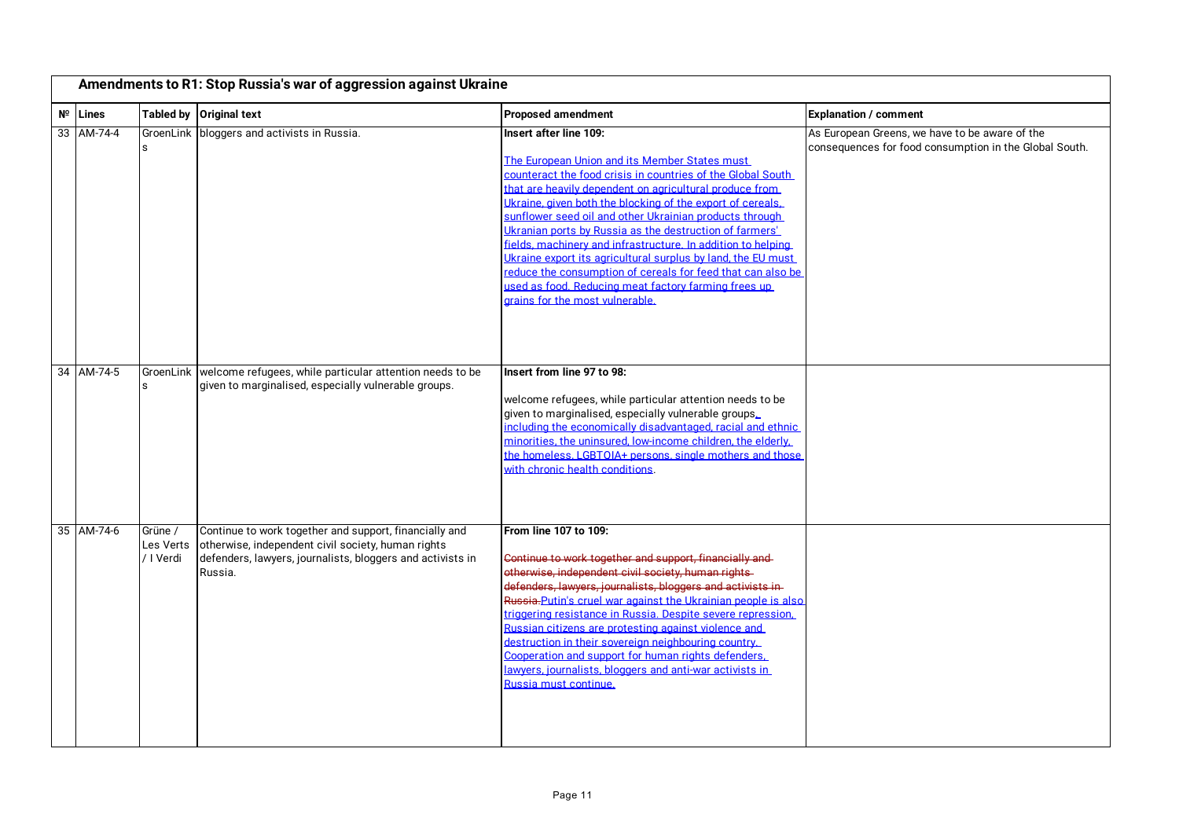| Amendments to R1: Stop Russia's war of aggression against Ukraine |                                   |                                                                                                                                                                                       |                                                                                                                                                                                                                                                                                                                                                                                                                                                                                                                                                                                                                                                                                 |                                                                                                          |  |
|-------------------------------------------------------------------|-----------------------------------|---------------------------------------------------------------------------------------------------------------------------------------------------------------------------------------|---------------------------------------------------------------------------------------------------------------------------------------------------------------------------------------------------------------------------------------------------------------------------------------------------------------------------------------------------------------------------------------------------------------------------------------------------------------------------------------------------------------------------------------------------------------------------------------------------------------------------------------------------------------------------------|----------------------------------------------------------------------------------------------------------|--|
| $N^{\circ}$ Lines                                                 |                                   | Tabled by Original text                                                                                                                                                               | <b>Proposed amendment</b>                                                                                                                                                                                                                                                                                                                                                                                                                                                                                                                                                                                                                                                       | <b>Explanation / comment</b>                                                                             |  |
| 33 AM-74-4                                                        | S                                 | GroenLink   bloggers and activists in Russia.                                                                                                                                         | Insert after line 109:<br>The European Union and its Member States must<br>counteract the food crisis in countries of the Global South<br>that are heavily dependent on agricultural produce from<br>Ukraine, given both the blocking of the export of cereals.<br>sunflower seed oil and other Ukrainian products through<br>Ukranian ports by Russia as the destruction of farmers'<br>fields, machinery and infrastructure. In addition to helping<br>Ukraine export its agricultural surplus by land, the EU must<br>reduce the consumption of cereals for feed that can also be<br>used as food. Reducing meat factory farming frees up<br>grains for the most vulnerable. | As European Greens, we have to be aware of the<br>consequences for food consumption in the Global South. |  |
| 34 AM-74-5                                                        |                                   | GroenLink   welcome refugees, while particular attention needs to be<br>given to marginalised, especially vulnerable groups.                                                          | Insert from line 97 to 98:<br>welcome refugees, while particular attention needs to be<br>given to marginalised, especially vulnerable groups.<br>including the economically disadvantaged, racial and ethnic<br>minorities, the uninsured, low-income children, the elderly.<br>the homeless. LGBTOIA+ persons, single mothers and those<br>with chronic health conditions.                                                                                                                                                                                                                                                                                                    |                                                                                                          |  |
| 35 AM-74-6                                                        | Grüne /<br>Les Verts<br>/ I Verdi | Continue to work together and support, financially and<br>otherwise, independent civil society, human rights<br>defenders, lawyers, journalists, bloggers and activists in<br>Russia. | From line 107 to 109:<br>Continue to work together and support, financially and<br>otherwise, independent civil society, human rights-<br>defenders, lawyers, journalists, bloggers and activists in-<br>Russia-Putin's cruel war against the Ukrainian people is also<br>triggering resistance in Russia. Despite severe repression.<br>Russian citizens are protesting against violence and<br>destruction in their sovereign neighbouring country.<br>Cooperation and support for human rights defenders.<br>lawvers, journalists, bloggers and anti-war activists in<br>Russia must continue.                                                                               |                                                                                                          |  |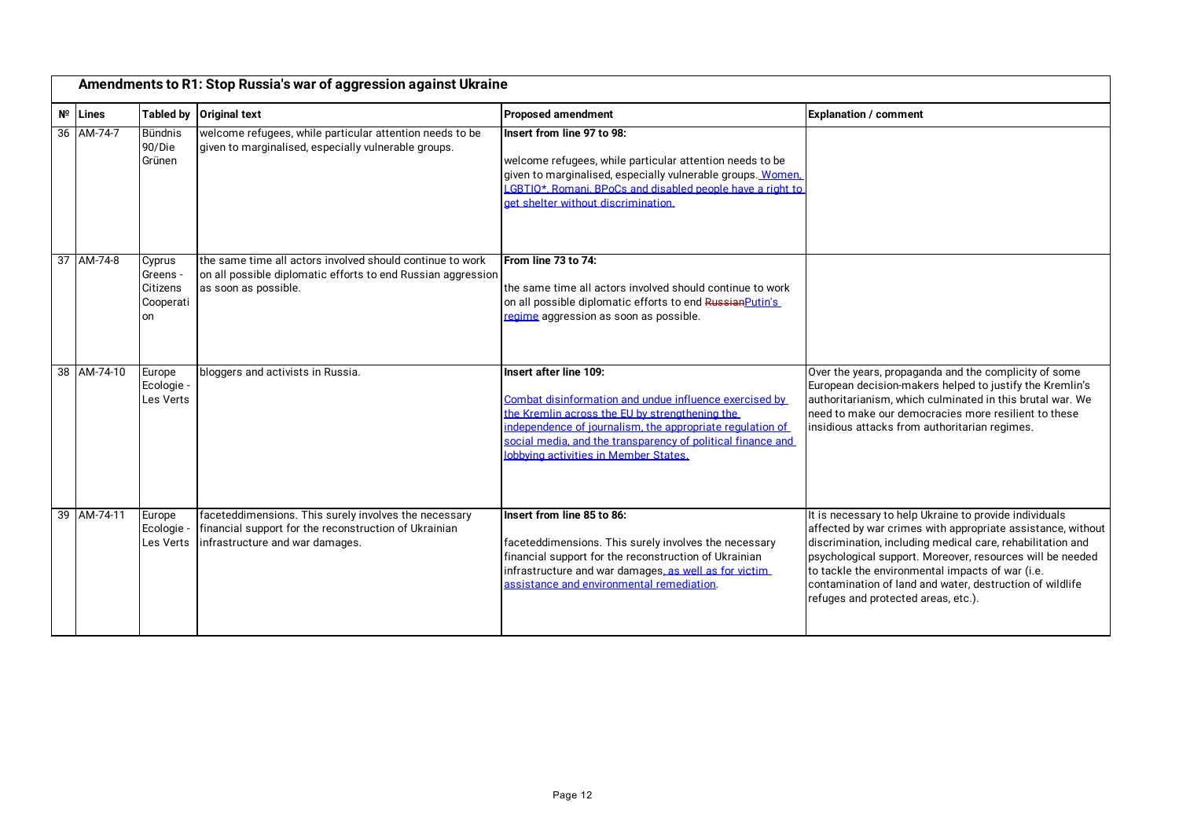|             |             |                                                   | Amendments to R1: Stop Russia's war of aggression against Ukraine                                                                                 |                                                                                                                                                                                                                                                                                                         |                                                                                                                                                                                                                                                                                                                                                                                                         |
|-------------|-------------|---------------------------------------------------|---------------------------------------------------------------------------------------------------------------------------------------------------|---------------------------------------------------------------------------------------------------------------------------------------------------------------------------------------------------------------------------------------------------------------------------------------------------------|---------------------------------------------------------------------------------------------------------------------------------------------------------------------------------------------------------------------------------------------------------------------------------------------------------------------------------------------------------------------------------------------------------|
| $N^{\circ}$ | Lines       |                                                   | Tabled by Original text                                                                                                                           | <b>Proposed amendment</b>                                                                                                                                                                                                                                                                               | <b>Explanation / comment</b>                                                                                                                                                                                                                                                                                                                                                                            |
|             | 36 AM-74-7  | <b>Bündnis</b><br>90/Die<br>Grünen                | welcome refugees, while particular attention needs to be<br>given to marginalised, especially vulnerable groups.                                  | Insert from line 97 to 98:<br>welcome refugees, while particular attention needs to be<br>given to marginalised, especially vulnerable groups. Women.<br>LGBTIO*. Romani. BPoCs and disabled people have a right to<br>get shelter without discrimination.                                              |                                                                                                                                                                                                                                                                                                                                                                                                         |
|             | 37 AM-74-8  | Cyprus<br>Greens -<br>Citizens<br>Cooperati<br>on | the same time all actors involved should continue to work<br>on all possible diplomatic efforts to end Russian aggression<br>as soon as possible. | From line 73 to 74:<br>the same time all actors involved should continue to work<br>on all possible diplomatic efforts to end Russian Putin's<br>regime aggression as soon as possible.                                                                                                                 |                                                                                                                                                                                                                                                                                                                                                                                                         |
|             | 38 AM-74-10 | Europe<br>Ecologie -<br>Les Verts                 | bloggers and activists in Russia.                                                                                                                 | Insert after line 109:<br>Combat disinformation and undue influence exercised by<br>the Kremlin across the EU by strengthening the<br>independence of iournalism, the appropriate regulation of<br>social media, and the transparency of political finance and<br>lobbving activities in Member States. | Over the years, propaganda and the complicity of some<br>European decision-makers helped to justify the Kremlin's<br>lauthoritarianism. which culminated in this brutal war. We<br>need to make our democracies more resilient to these<br>insidious attacks from authoritarian regimes.                                                                                                                |
|             | 39 AM-74-11 | Europe<br>Ecologie -<br>Les Verts                 | faceteddimensions. This surely involves the necessary<br>financial support for the reconstruction of Ukrainian<br>infrastructure and war damages. | Insert from line 85 to 86:<br>faceteddimensions. This surely involves the necessary<br>financial support for the reconstruction of Ukrainian<br>infrastructure and war damages, as well as for victim<br>assistance and environmental remediation.                                                      | It is necessary to help Ukraine to provide individuals<br>affected by war crimes with appropriate assistance, without<br>discrimination, including medical care, rehabilitation and<br>psychological support. Moreover, resources will be needed<br>to tackle the environmental impacts of war (i.e.<br>contamination of land and water, destruction of wildlife<br>refuges and protected areas, etc.). |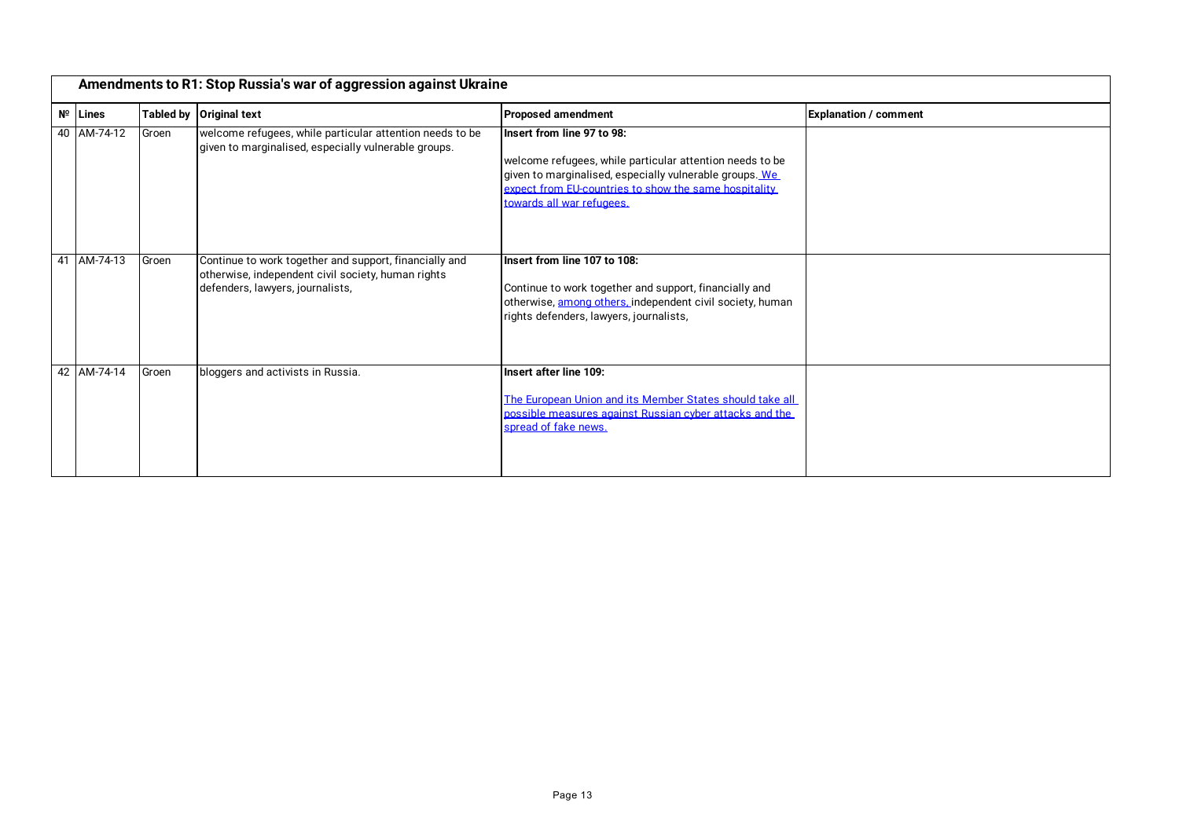| Amendments to R1: Stop Russia's war of aggression against Ukraine |       |                                                                                                                                                  |                                                                                                                                                                                                                                         |                              |
|-------------------------------------------------------------------|-------|--------------------------------------------------------------------------------------------------------------------------------------------------|-----------------------------------------------------------------------------------------------------------------------------------------------------------------------------------------------------------------------------------------|------------------------------|
| $N^{\circ}$ Lines                                                 |       | Tabled by Original text                                                                                                                          | <b>Proposed amendment</b>                                                                                                                                                                                                               | <b>Explanation / comment</b> |
| 40 AM-74-12                                                       | Groen | welcome refugees, while particular attention needs to be<br>given to marginalised, especially vulnerable groups.                                 | Insert from line 97 to 98:<br>welcome refugees, while particular attention needs to be<br>given to marginalised, especially vulnerable groups. We<br>expect from EU-countries to show the same hospitality<br>towards all war refugees. |                              |
| 41 AM-74-13                                                       | Groen | Continue to work together and support, financially and<br>otherwise, independent civil society, human rights<br>defenders, lawyers, journalists, | Insert from line 107 to 108:<br>Continue to work together and support, financially and<br>otherwise, among others, independent civil society, human<br>rights defenders, lawyers, journalists,                                          |                              |
| 42 AM-74-14                                                       | Groen | bloggers and activists in Russia.                                                                                                                | Insert after line 109:<br>The European Union and its Member States should take all<br>possible measures against Russian cyber attacks and the<br>spread of fake news.                                                                   |                              |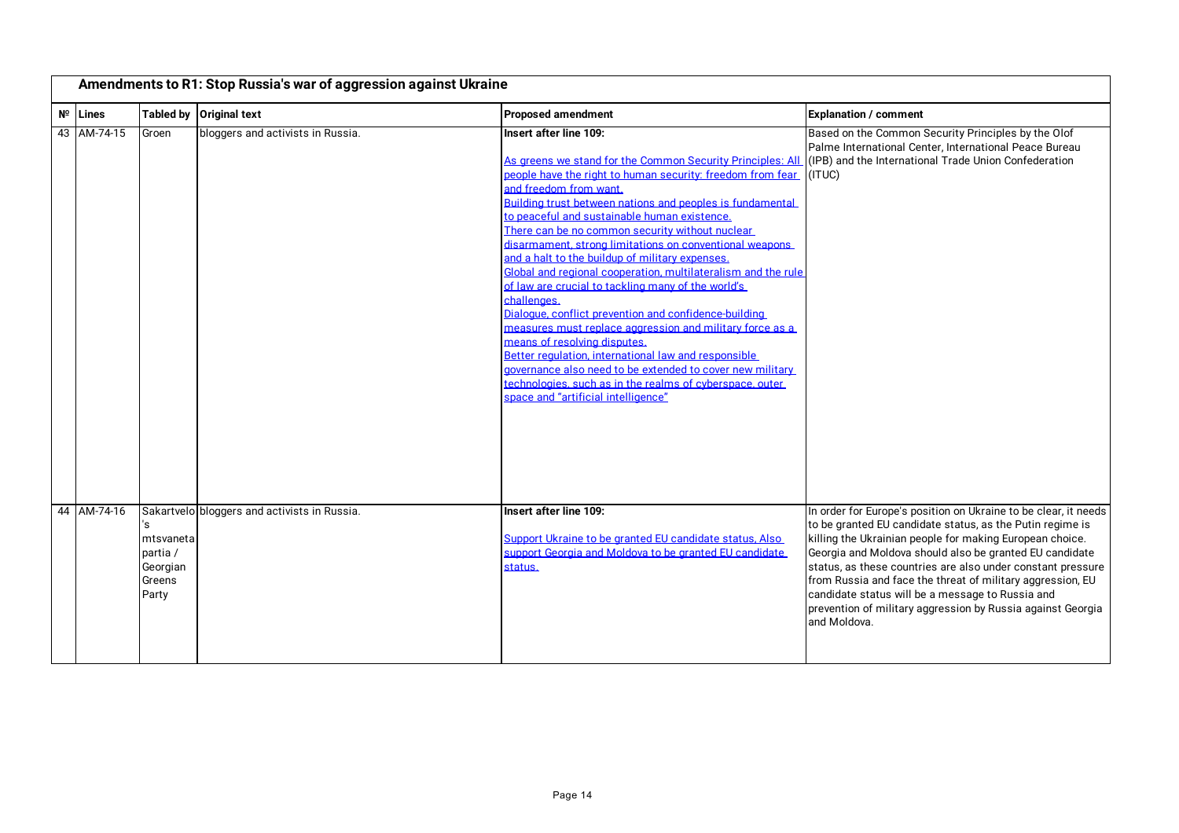| Amendments to R1: Stop Russia's war of aggression against Ukraine |                                                            |                                              |                                                                                                                                                                                                                                                                                                                                                                                                                                                                                                                                                                                                                                                                                                                                                                                                                                                                                                                                                                               |                                                                                                                                                                                                                                                                                                                                                                                                                                                                                                                     |  |
|-------------------------------------------------------------------|------------------------------------------------------------|----------------------------------------------|-------------------------------------------------------------------------------------------------------------------------------------------------------------------------------------------------------------------------------------------------------------------------------------------------------------------------------------------------------------------------------------------------------------------------------------------------------------------------------------------------------------------------------------------------------------------------------------------------------------------------------------------------------------------------------------------------------------------------------------------------------------------------------------------------------------------------------------------------------------------------------------------------------------------------------------------------------------------------------|---------------------------------------------------------------------------------------------------------------------------------------------------------------------------------------------------------------------------------------------------------------------------------------------------------------------------------------------------------------------------------------------------------------------------------------------------------------------------------------------------------------------|--|
| $N^{\circ}$ Lines                                                 | <b>Tabled by</b>                                           | <b>Original text</b>                         | <b>Proposed amendment</b>                                                                                                                                                                                                                                                                                                                                                                                                                                                                                                                                                                                                                                                                                                                                                                                                                                                                                                                                                     | <b>Explanation / comment</b>                                                                                                                                                                                                                                                                                                                                                                                                                                                                                        |  |
| 43 AM-74-15                                                       | Groen                                                      | bloggers and activists in Russia.            | Insert after line 109:<br>As greens we stand for the Common Security Principles: All<br>people have the right to human security: freedom from fear<br>and freedom from want.<br>Building trust between nations and peoples is fundamental<br>to peaceful and sustainable human existence.<br>There can be no common security without nuclear<br>disarmament, strong limitations on conventional weapons<br>and a halt to the buildup of military expenses.<br>Global and regional cooperation, multilateralism and the rule<br>of law are crucial to tackling many of the world's<br>challenges.<br>Dialogue, conflict prevention and confidence-building<br>measures must replace aggression and military force as a<br>means of resolving disputes.<br>Better regulation, international law and responsible<br>governance also need to be extended to cover new military<br>technologies, such as in the realms of cyberspace, outer<br>space and "artificial intelligence" | Based on the Common Security Principles by the Olof<br>Palme International Center, International Peace Bureau<br>(IPB) and the International Trade Union Confederation<br>(ITUC)                                                                                                                                                                                                                                                                                                                                    |  |
| 44 AM-74-16                                                       | 's<br>mtsvaneta<br>partia /<br>Georgian<br>Greens<br>Party | Sakartvelo bloggers and activists in Russia. | Insert after line 109:<br>Support Ukraine to be granted EU candidate status, Also<br>support Georgia and Moldova to be granted EU candidate<br>status.                                                                                                                                                                                                                                                                                                                                                                                                                                                                                                                                                                                                                                                                                                                                                                                                                        | In order for Europe's position on Ukraine to be clear, it needs<br>to be granted EU candidate status, as the Putin regime is<br>killing the Ukrainian people for making European choice.<br>Georgia and Moldova should also be granted EU candidate<br>status, as these countries are also under constant pressure<br>from Russia and face the threat of military aggression, EU<br>candidate status will be a message to Russia and<br>prevention of military aggression by Russia against Georgia<br>and Moldova. |  |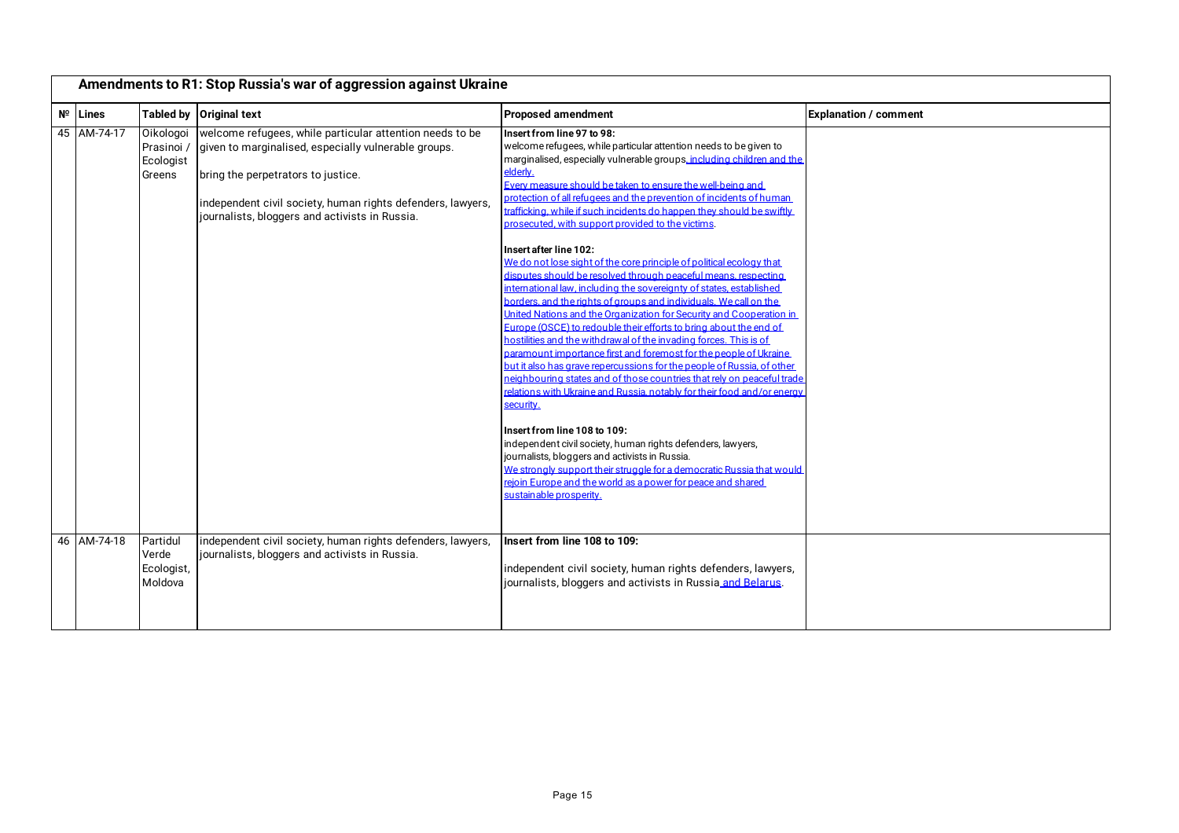| Amendments to R1: Stop Russia's war of aggression against Ukraine |                                                |                                                                                                                                                                                                                                                                         |                                                                                                                                                                                                                                                                                                                                                                                                                                                                                                                                                                                                                                                                                                                                                                                                                                                                                                                                                                                                                                                                                                                                                                                                                                                                                                                                                                                                                                                                                                                                                                                                                                |                              |
|-------------------------------------------------------------------|------------------------------------------------|-------------------------------------------------------------------------------------------------------------------------------------------------------------------------------------------------------------------------------------------------------------------------|--------------------------------------------------------------------------------------------------------------------------------------------------------------------------------------------------------------------------------------------------------------------------------------------------------------------------------------------------------------------------------------------------------------------------------------------------------------------------------------------------------------------------------------------------------------------------------------------------------------------------------------------------------------------------------------------------------------------------------------------------------------------------------------------------------------------------------------------------------------------------------------------------------------------------------------------------------------------------------------------------------------------------------------------------------------------------------------------------------------------------------------------------------------------------------------------------------------------------------------------------------------------------------------------------------------------------------------------------------------------------------------------------------------------------------------------------------------------------------------------------------------------------------------------------------------------------------------------------------------------------------|------------------------------|
| $N^{\circ}$ Lines                                                 |                                                | Tabled by Original text                                                                                                                                                                                                                                                 | <b>Proposed amendment</b>                                                                                                                                                                                                                                                                                                                                                                                                                                                                                                                                                                                                                                                                                                                                                                                                                                                                                                                                                                                                                                                                                                                                                                                                                                                                                                                                                                                                                                                                                                                                                                                                      | <b>Explanation / comment</b> |
| 45 AM-74-17                                                       | Oikologoi<br>Prasinoi /<br>Ecologist<br>Greens | welcome refugees, while particular attention needs to be<br>given to marginalised, especially vulnerable groups.<br>bring the perpetrators to justice.<br>independent civil society, human rights defenders, lawyers,<br>journalists, bloggers and activists in Russia. | Insert from line 97 to 98:<br>welcome refugees, while particular attention needs to be given to<br>marginalised, especially vulnerable groups, including children and the<br>elderly.<br>Every measure should be taken to ensure the well-being and<br>protection of all refugees and the prevention of incidents of human<br>trafficking, while if such incidents do happen they should be swiftly<br>prosecuted, with support provided to the victims.<br>Insert after line 102:<br>We do not lose sight of the core principle of political ecology that<br>disputes should be resolved through peaceful means, respecting<br>international law, including the sovereignty of states, established<br>borders, and the rights of groups and individuals. We call on the<br>United Nations and the Organization for Security and Cooperation in<br>Europe (OSCE) to redouble their efforts to bring about the end of<br>hostilities and the withdrawal of the invading forces. This is of<br>paramount importance first and foremost for the people of Ukraine<br>but it also has grave repercussions for the people of Russia, of other<br>neighbouring states and of those countries that rely on peaceful trade<br>relations with Ukraine and Russia, notably for their food and/or energy<br>security.<br>Insert from line 108 to 109:<br>independent civil society, human rights defenders, lawyers,<br>journalists, bloggers and activists in Russia.<br>We strongly support their struggle for a democratic Russia that would<br>rejoin Europe and the world as a power for peace and shared<br>sustainable prosperity. |                              |
| 46 AM-74-18                                                       | Partidul<br>Verde<br>Ecologist,<br>Moldova     | independent civil society, human rights defenders, lawyers,<br>journalists, bloggers and activists in Russia.                                                                                                                                                           | Insert from line 108 to 109:<br>independent civil society, human rights defenders, lawyers,<br>journalists, bloggers and activists in Russia and Belarus.                                                                                                                                                                                                                                                                                                                                                                                                                                                                                                                                                                                                                                                                                                                                                                                                                                                                                                                                                                                                                                                                                                                                                                                                                                                                                                                                                                                                                                                                      |                              |